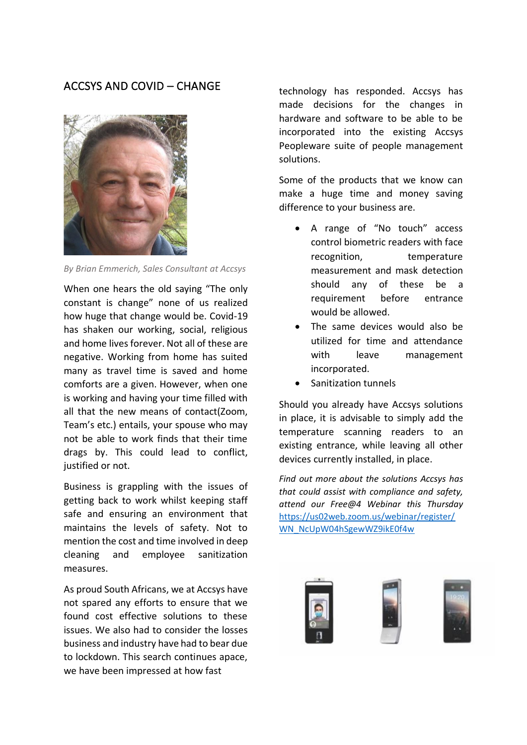## ACCSYS AND COVID – CHANGE



*By Brian Emmerich, Sales Consultant at Accsys*

When one hears the old saying "The only constant is change" none of us realized how huge that change would be. Covid-19 has shaken our working, social, religious and home lives forever. Not all of these are negative. Working from home has suited many as travel time is saved and home comforts are a given. However, when one is working and having your time filled with all that the new means of contact(Zoom, Team's etc.) entails, your spouse who may not be able to work finds that their time drags by. This could lead to conflict, justified or not.

Business is grappling with the issues of getting back to work whilst keeping staff safe and ensuring an environment that maintains the levels of safety. Not to mention the cost and time involved in deep cleaning and employee sanitization measures.

As proud South Africans, we at Accsys have not spared any efforts to ensure that we found cost effective solutions to these issues. We also had to consider the losses business and industry have had to bear due to lockdown. This search continues apace, we have been impressed at how fast

technology has responded. Accsys has made decisions for the changes in hardware and software to be able to be incorporated into the existing Accsys Peopleware suite of people management solutions.

Some of the products that we know can make a huge time and money saving difference to your business are.

- A range of "No touch" access control biometric readers with face recognition, temperature measurement and mask detection should any of these be a requirement before entrance would be allowed.
- The same devices would also be utilized for time and attendance with leave management incorporated.
- Sanitization tunnels

Should you already have Accsys solutions in place, it is advisable to simply add the temperature scanning readers to an existing entrance, while leaving all other devices currently installed, in place.

*Find out more about the solutions Accsys has that could assist with compliance and safety, attend our Free@4 Webinar this Thursday*  [https://us02web.zoom.us/webinar/register/](https://us02web.zoom.us/webinar/register/WN_NcUpW04hSgewWZ9ikE0f4w) [WN\\_NcUpW04hSgewWZ9ikE0f4w](https://us02web.zoom.us/webinar/register/WN_NcUpW04hSgewWZ9ikE0f4w)